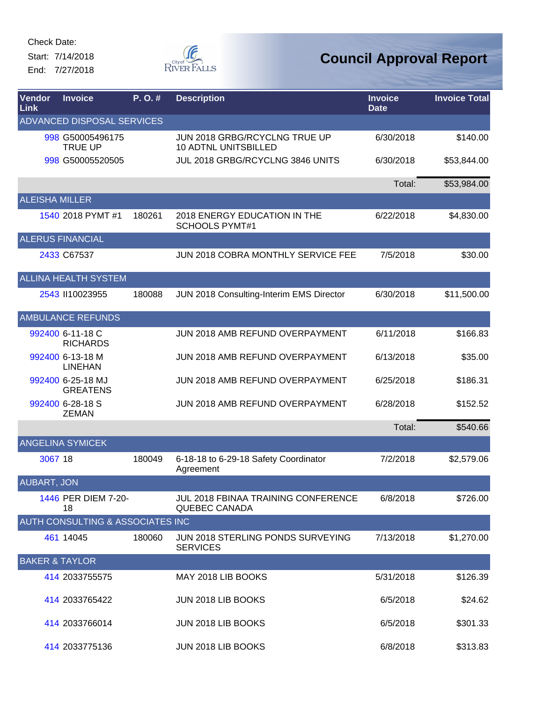Start: 7/14/2018 End: 7/27/2018



| <b>Vendor</b><br><b>Link</b> | <b>Invoice</b>                       | P.O.#  | <b>Description</b>                                           | <b>Invoice</b><br><b>Date</b> | <b>Invoice Total</b> |
|------------------------------|--------------------------------------|--------|--------------------------------------------------------------|-------------------------------|----------------------|
|                              | ADVANCED DISPOSAL SERVICES           |        |                                                              |                               |                      |
|                              | 998 G50005496175<br><b>TRUE UP</b>   |        | JUN 2018 GRBG/RCYCLNG TRUE UP<br><b>10 ADTNL UNITSBILLED</b> | 6/30/2018                     | \$140.00             |
|                              | 998 G50005520505                     |        | JUL 2018 GRBG/RCYCLNG 3846 UNITS                             | 6/30/2018                     | \$53,844.00          |
|                              |                                      |        |                                                              | Total:                        | \$53,984.00          |
| <b>ALEISHA MILLER</b>        |                                      |        |                                                              |                               |                      |
|                              | 1540 2018 PYMT #1                    | 180261 | 2018 ENERGY EDUCATION IN THE<br><b>SCHOOLS PYMT#1</b>        | 6/22/2018                     | \$4,830.00           |
|                              | <b>ALERUS FINANCIAL</b>              |        |                                                              |                               |                      |
|                              | 2433 C67537                          |        | JUN 2018 COBRA MONTHLY SERVICE FEE                           | 7/5/2018                      | \$30.00              |
|                              | <b>ALLINA HEALTH SYSTEM</b>          |        |                                                              |                               |                      |
|                              | 2543 II10023955                      | 180088 | JUN 2018 Consulting-Interim EMS Director                     | 6/30/2018                     | \$11,500.00          |
|                              | <b>AMBULANCE REFUNDS</b>             |        |                                                              |                               |                      |
|                              | 992400 6-11-18 C<br><b>RICHARDS</b>  |        | JUN 2018 AMB REFUND OVERPAYMENT                              | 6/11/2018                     | \$166.83             |
|                              | 992400 6-13-18 M<br><b>LINEHAN</b>   |        | JUN 2018 AMB REFUND OVERPAYMENT                              | 6/13/2018                     | \$35.00              |
|                              | 992400 6-25-18 MJ<br><b>GREATENS</b> |        | JUN 2018 AMB REFUND OVERPAYMENT                              | 6/25/2018                     | \$186.31             |
|                              | 992400 6-28-18 S<br><b>ZEMAN</b>     |        | JUN 2018 AMB REFUND OVERPAYMENT                              | 6/28/2018                     | \$152.52             |
|                              |                                      |        |                                                              | Total:                        | \$540.66             |
|                              | <b>ANGELINA SYMICEK</b>              |        |                                                              |                               |                      |
| 3067 18                      |                                      | 180049 | 6-18-18 to 6-29-18 Safety Coordinator<br>Agreement           | 7/2/2018                      | \$2,579.06           |
| <b>AUBART, JON</b>           |                                      |        |                                                              |                               |                      |
|                              | 1446 PER DIEM 7-20-<br>18            |        | JUL 2018 FBINAA TRAINING CONFERENCE<br><b>QUEBEC CANADA</b>  | 6/8/2018                      | \$726.00             |
|                              | AUTH CONSULTING & ASSOCIATES INC     |        |                                                              |                               |                      |
|                              | 461 14045                            | 180060 | JUN 2018 STERLING PONDS SURVEYING<br><b>SERVICES</b>         | 7/13/2018                     | \$1,270.00           |
|                              | <b>BAKER &amp; TAYLOR</b>            |        |                                                              |                               |                      |
|                              | 414 2033755575                       |        | MAY 2018 LIB BOOKS                                           | 5/31/2018                     | \$126.39             |
|                              | 414 2033765422                       |        | JUN 2018 LIB BOOKS                                           | 6/5/2018                      | \$24.62              |
|                              | 414 2033766014                       |        | JUN 2018 LIB BOOKS                                           | 6/5/2018                      | \$301.33             |
|                              | 414 2033775136                       |        | JUN 2018 LIB BOOKS                                           | 6/8/2018                      | \$313.83             |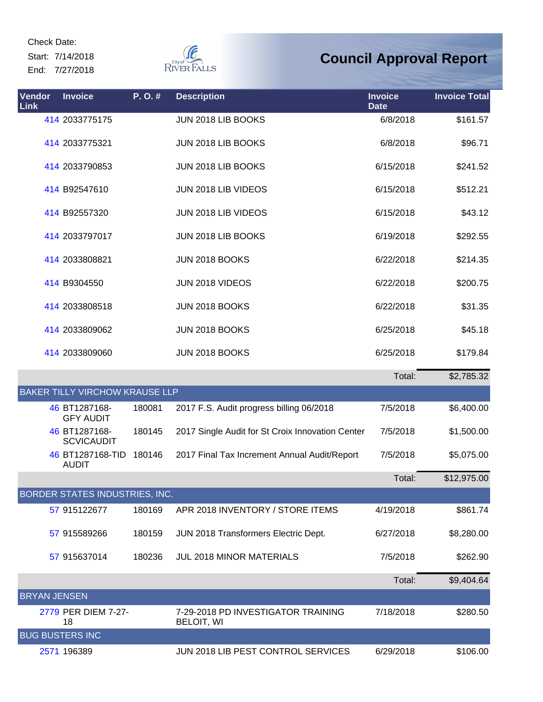Start: 7/14/2018 End: 7/27/2018



| Vendor<br><b>Link</b> | <b>Invoice</b>                        | P.O.#  | <b>Description</b>                                      | <b>Invoice</b><br><b>Date</b> | <b>Invoice Total</b> |
|-----------------------|---------------------------------------|--------|---------------------------------------------------------|-------------------------------|----------------------|
|                       | 414 2033775175                        |        | JUN 2018 LIB BOOKS                                      | 6/8/2018                      | \$161.57             |
|                       | 414 2033775321                        |        | JUN 2018 LIB BOOKS                                      | 6/8/2018                      | \$96.71              |
|                       | 414 2033790853                        |        | JUN 2018 LIB BOOKS                                      | 6/15/2018                     | \$241.52             |
|                       | 414 B92547610                         |        | JUN 2018 LIB VIDEOS                                     | 6/15/2018                     | \$512.21             |
|                       | 414 B92557320                         |        | JUN 2018 LIB VIDEOS                                     | 6/15/2018                     | \$43.12              |
|                       | 414 2033797017                        |        | JUN 2018 LIB BOOKS                                      | 6/19/2018                     | \$292.55             |
|                       | 414 2033808821                        |        | <b>JUN 2018 BOOKS</b>                                   | 6/22/2018                     | \$214.35             |
|                       | 414 B9304550                          |        | JUN 2018 VIDEOS                                         | 6/22/2018                     | \$200.75             |
|                       | 414 2033808518                        |        | <b>JUN 2018 BOOKS</b>                                   | 6/22/2018                     | \$31.35              |
|                       | 414 2033809062                        |        | <b>JUN 2018 BOOKS</b>                                   | 6/25/2018                     | \$45.18              |
|                       | 414 2033809060                        |        | JUN 2018 BOOKS                                          | 6/25/2018                     | \$179.84             |
|                       |                                       |        |                                                         | Total:                        | \$2,785.32           |
|                       | <b>BAKER TILLY VIRCHOW KRAUSE LLP</b> |        |                                                         |                               |                      |
|                       | 46 BT1287168-<br><b>GFY AUDIT</b>     | 180081 | 2017 F.S. Audit progress billing 06/2018                | 7/5/2018                      | \$6,400.00           |
|                       | 46 BT1287168-<br><b>SCVICAUDIT</b>    | 180145 | 2017 Single Audit for St Croix Innovation Center        | 7/5/2018                      | \$1,500.00           |
|                       | 46 BT1287168-TID<br><b>AUDIT</b>      | 180146 | 2017 Final Tax Increment Annual Audit/Report            | 7/5/2018                      | \$5,075.00           |
|                       |                                       |        |                                                         | Total:                        | \$12,975.00          |
|                       | <b>BORDER STATES INDUSTRIES, INC.</b> |        |                                                         |                               |                      |
|                       | 57 915122677                          | 180169 | APR 2018 INVENTORY / STORE ITEMS                        | 4/19/2018                     | \$861.74             |
|                       | 57 915589266                          | 180159 | JUN 2018 Transformers Electric Dept.                    | 6/27/2018                     | \$8,280.00           |
|                       | 57 915637014                          | 180236 | <b>JUL 2018 MINOR MATERIALS</b>                         | 7/5/2018                      | \$262.90             |
|                       |                                       |        |                                                         | Total:                        | \$9,404.64           |
| <b>BRYAN JENSEN</b>   |                                       |        |                                                         |                               |                      |
|                       | 2779 PER DIEM 7-27-<br>18             |        | 7-29-2018 PD INVESTIGATOR TRAINING<br><b>BELOIT, WI</b> | 7/18/2018                     | \$280.50             |
|                       | <b>BUG BUSTERS INC</b>                |        |                                                         |                               |                      |
|                       | 2571 196389                           |        | JUN 2018 LIB PEST CONTROL SERVICES                      | 6/29/2018                     | \$106.00             |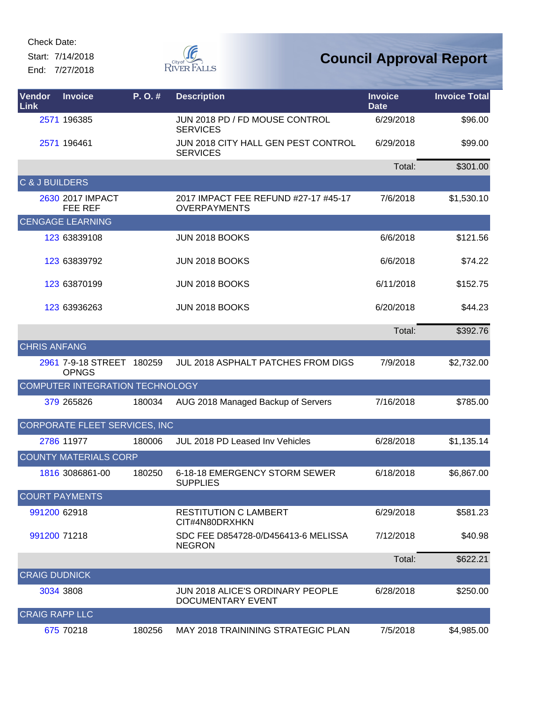Start: 7/14/2018 End: 7/27/2018



| Vendor<br>Link            | <b>Invoice</b>                            | P.O.#  | <b>Description</b>                                           | <b>Invoice</b><br><b>Date</b> | <b>Invoice Total</b> |
|---------------------------|-------------------------------------------|--------|--------------------------------------------------------------|-------------------------------|----------------------|
|                           | 2571 196385                               |        | JUN 2018 PD / FD MOUSE CONTROL<br><b>SERVICES</b>            | 6/29/2018                     | \$96.00              |
|                           | 2571 196461                               |        | JUN 2018 CITY HALL GEN PEST CONTROL<br><b>SERVICES</b>       | 6/29/2018                     | \$99.00              |
|                           |                                           |        |                                                              | Total:                        | \$301.00             |
| <b>C &amp; J BUILDERS</b> |                                           |        |                                                              |                               |                      |
|                           | 2630 2017 IMPACT<br><b>FEE REF</b>        |        | 2017 IMPACT FEE REFUND #27-17 #45-17<br><b>OVERPAYMENTS</b>  | 7/6/2018                      | \$1,530.10           |
|                           | <b>CENGAGE LEARNING</b>                   |        |                                                              |                               |                      |
|                           | 123 63839108                              |        | <b>JUN 2018 BOOKS</b>                                        | 6/6/2018                      | \$121.56             |
|                           | 123 63839792                              |        | <b>JUN 2018 BOOKS</b>                                        | 6/6/2018                      | \$74.22              |
|                           | 123 63870199                              |        | <b>JUN 2018 BOOKS</b>                                        | 6/11/2018                     | \$152.75             |
|                           | 123 63936263                              |        | <b>JUN 2018 BOOKS</b>                                        | 6/20/2018                     | \$44.23              |
|                           |                                           |        |                                                              | Total:                        | \$392.76             |
| <b>CHRIS ANFANG</b>       |                                           |        |                                                              |                               |                      |
|                           | 2961 7-9-18 STREET 180259<br><b>OPNGS</b> |        | <b>JUL 2018 ASPHALT PATCHES FROM DIGS</b>                    | 7/9/2018                      | \$2,732.00           |
|                           | COMPUTER INTEGRATION TECHNOLOGY           |        |                                                              |                               |                      |
|                           | 379 265826                                | 180034 | AUG 2018 Managed Backup of Servers                           | 7/16/2018                     | \$785.00             |
|                           | CORPORATE FLEET SERVICES, INC             |        |                                                              |                               |                      |
|                           | 2786 11977                                | 180006 | JUL 2018 PD Leased Inv Vehicles                              | 6/28/2018                     | \$1,135.14           |
|                           | <b>COUNTY MATERIALS CORP</b>              |        |                                                              |                               |                      |
|                           | 1816 3086861-00                           | 180250 | 6-18-18 EMERGENCY STORM SEWER<br><b>SUPPLIES</b>             | 6/18/2018                     | \$6,867.00           |
|                           | <b>COURT PAYMENTS</b>                     |        |                                                              |                               |                      |
| 991200 62918              |                                           |        | RESTITUTION C LAMBERT<br>CIT#4N80DRXHKN                      | 6/29/2018                     | \$581.23             |
| 991200 71218              |                                           |        | SDC FEE D854728-0/D456413-6 MELISSA<br><b>NEGRON</b>         | 7/12/2018                     | \$40.98              |
|                           |                                           |        |                                                              | Total:                        | \$622.21             |
| <b>CRAIG DUDNICK</b>      |                                           |        |                                                              |                               |                      |
|                           | 3034 3808                                 |        | <b>JUN 2018 ALICE'S ORDINARY PEOPLE</b><br>DOCUMENTARY EVENT | 6/28/2018                     | \$250.00             |
| <b>CRAIG RAPP LLC</b>     |                                           |        |                                                              |                               |                      |
|                           | 675 70218                                 | 180256 | MAY 2018 TRAININING STRATEGIC PLAN                           | 7/5/2018                      | \$4,985.00           |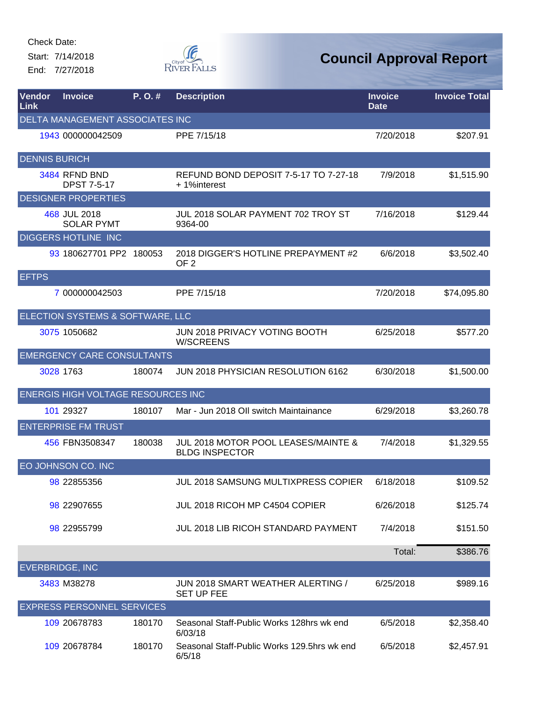Start: 7/14/2018 End: 7/27/2018



| Vendor<br>Link       | <b>Invoice</b>                            | P. O. # | <b>Description</b>                                           | <b>Invoice</b><br><b>Date</b> | <b>Invoice Total</b> |
|----------------------|-------------------------------------------|---------|--------------------------------------------------------------|-------------------------------|----------------------|
|                      | <b>DELTA MANAGEMENT ASSOCIATES INC</b>    |         |                                                              |                               |                      |
|                      | 1943 000000042509                         |         | PPE 7/15/18                                                  | 7/20/2018                     | \$207.91             |
| <b>DENNIS BURICH</b> |                                           |         |                                                              |                               |                      |
|                      | 3484 RFND BND<br><b>DPST 7-5-17</b>       |         | REFUND BOND DEPOSIT 7-5-17 TO 7-27-18<br>+1%interest         | 7/9/2018                      | \$1,515.90           |
|                      | <b>DESIGNER PROPERTIES</b>                |         |                                                              |                               |                      |
|                      | 468 JUL 2018<br><b>SOLAR PYMT</b>         |         | JUL 2018 SOLAR PAYMENT 702 TROY ST<br>9364-00                | 7/16/2018                     | \$129.44             |
|                      | <b>DIGGERS HOTLINE INC</b>                |         |                                                              |                               |                      |
|                      | 93 180627701 PP2 180053                   |         | 2018 DIGGER'S HOTLINE PREPAYMENT #2<br>OF <sub>2</sub>       | 6/6/2018                      | \$3,502.40           |
| <b>EFTPS</b>         |                                           |         |                                                              |                               |                      |
|                      | 7 000000042503                            |         | PPE 7/15/18                                                  | 7/20/2018                     | \$74,095.80          |
|                      | ELECTION SYSTEMS & SOFTWARE, LLC          |         |                                                              |                               |                      |
|                      | 3075 1050682                              |         | JUN 2018 PRIVACY VOTING BOOTH<br><b>W/SCREENS</b>            | 6/25/2018                     | \$577.20             |
|                      | <b>EMERGENCY CARE CONSULTANTS</b>         |         |                                                              |                               |                      |
|                      | 3028 1763                                 | 180074  | JUN 2018 PHYSICIAN RESOLUTION 6162                           | 6/30/2018                     | \$1,500.00           |
|                      | <b>ENERGIS HIGH VOLTAGE RESOURCES INC</b> |         |                                                              |                               |                      |
|                      | 101 29327                                 | 180107  | Mar - Jun 2018 Oll switch Maintainance                       | 6/29/2018                     | \$3,260.78           |
|                      | <b>ENTERPRISE FM TRUST</b>                |         |                                                              |                               |                      |
|                      | 456 FBN3508347                            | 180038  | JUL 2018 MOTOR POOL LEASES/MAINTE &<br><b>BLDG INSPECTOR</b> | 7/4/2018                      | \$1,329.55           |
|                      | EO JOHNSON CO. INC                        |         |                                                              |                               |                      |
|                      | 98 22855356                               |         | JUL 2018 SAMSUNG MULTIXPRESS COPIER                          | 6/18/2018                     | \$109.52             |
|                      | 98 22907655                               |         | JUL 2018 RICOH MP C4504 COPIER                               | 6/26/2018                     | \$125.74             |
|                      | 98 22955799                               |         | <b>JUL 2018 LIB RICOH STANDARD PAYMENT</b>                   | 7/4/2018                      | \$151.50             |
|                      |                                           |         |                                                              | Total:                        | \$386.76             |
|                      | <b>EVERBRIDGE, INC</b>                    |         |                                                              |                               |                      |
|                      | 3483 M38278                               |         | JUN 2018 SMART WEATHER ALERTING /<br><b>SET UP FEE</b>       | 6/25/2018                     | \$989.16             |
|                      | <b>EXPRESS PERSONNEL SERVICES</b>         |         |                                                              |                               |                      |
|                      | 109 20678783                              | 180170  | Seasonal Staff-Public Works 128hrs wk end<br>6/03/18         | 6/5/2018                      | \$2,358.40           |
|                      | 109 20678784                              | 180170  | Seasonal Staff-Public Works 129.5hrs wk end<br>6/5/18        | 6/5/2018                      | \$2,457.91           |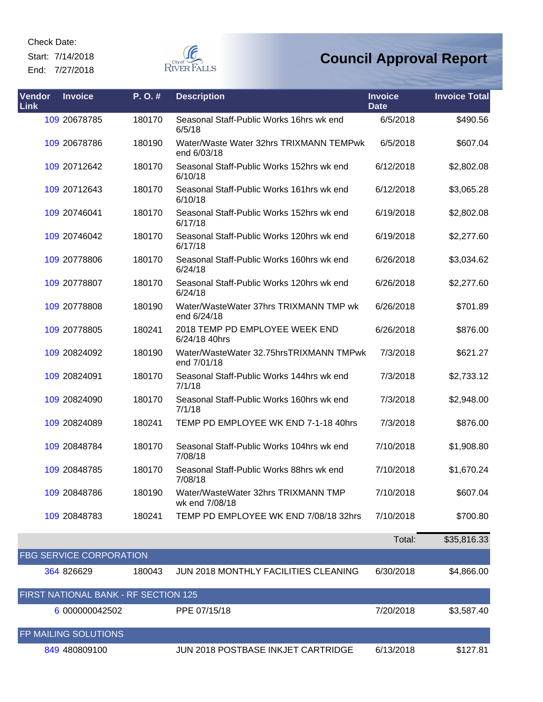Start: 7/14/2018

End: 7/27/2018



### **Council Approval Report**

| Vendor<br>Link | <b>Invoice</b>                       | P. O. # | <b>Description</b>                                     | <b>Invoice</b><br><b>Date</b> | <b>Invoice Total</b> |
|----------------|--------------------------------------|---------|--------------------------------------------------------|-------------------------------|----------------------|
|                | 109 20678785                         | 180170  | Seasonal Staff-Public Works 16hrs wk end<br>6/5/18     | 6/5/2018                      | \$490.56             |
|                | 109 20678786                         | 180190  | Water/Waste Water 32hrs TRIXMANN TEMPwk<br>end 6/03/18 | 6/5/2018                      | \$607.04             |
|                | 109 20712642                         | 180170  | Seasonal Staff-Public Works 152hrs wk end<br>6/10/18   | 6/12/2018                     | \$2,802.08           |
|                | 109 20712643                         | 180170  | Seasonal Staff-Public Works 161hrs wk end<br>6/10/18   | 6/12/2018                     | \$3,065.28           |
|                | 109 20746041                         | 180170  | Seasonal Staff-Public Works 152hrs wk end<br>6/17/18   | 6/19/2018                     | \$2,802.08           |
|                | 109 20746042                         | 180170  | Seasonal Staff-Public Works 120hrs wk end<br>6/17/18   | 6/19/2018                     | \$2,277.60           |
|                | 109 20778806                         | 180170  | Seasonal Staff-Public Works 160hrs wk end<br>6/24/18   | 6/26/2018                     | \$3,034.62           |
|                | 109 20778807                         | 180170  | Seasonal Staff-Public Works 120hrs wk end<br>6/24/18   | 6/26/2018                     | \$2,277.60           |
|                | 109 20778808                         | 180190  | Water/WasteWater 37hrs TRIXMANN TMP wk<br>end 6/24/18  | 6/26/2018                     | \$701.89             |
|                | 109 20778805                         | 180241  | 2018 TEMP PD EMPLOYEE WEEK END<br>6/24/18 40hrs        | 6/26/2018                     | \$876.00             |
|                | 109 20824092                         | 180190  | Water/WasteWater 32.75hrsTRIXMANN TMPwk<br>end 7/01/18 | 7/3/2018                      | \$621.27             |
|                | 109 20824091                         | 180170  | Seasonal Staff-Public Works 144hrs wk end<br>7/1/18    | 7/3/2018                      | \$2,733.12           |
|                | 109 20824090                         | 180170  | Seasonal Staff-Public Works 160hrs wk end<br>7/1/18    | 7/3/2018                      | \$2,948.00           |
|                | 109 20824089                         | 180241  | TEMP PD EMPLOYEE WK END 7-1-18 40hrs                   | 7/3/2018                      | \$876.00             |
|                | 109 20848784                         | 180170  | Seasonal Staff-Public Works 104hrs wk end<br>7/08/18   | 7/10/2018                     | \$1,908.80           |
|                | 109 20848785                         | 180170  | Seasonal Staff-Public Works 88hrs wk end<br>7/08/18    | 7/10/2018                     | \$1,670.24           |
|                | 109 20848786                         | 180190  | Water/WasteWater 32hrs TRIXMANN TMP<br>wk end 7/08/18  | 7/10/2018                     | \$607.04             |
|                | 109 20848783                         | 180241  | TEMP PD EMPLOYEE WK END 7/08/18 32hrs                  | 7/10/2018                     | \$700.80             |
|                |                                      |         |                                                        | Total:                        | \$35,816.33          |
|                | FBG SERVICE CORPORATION              |         |                                                        |                               |                      |
|                | 364 826629                           | 180043  | JUN 2018 MONTHLY FACILITIES CLEANING                   | 6/30/2018                     | \$4,866.00           |
|                | FIRST NATIONAL BANK - RF SECTION 125 |         |                                                        |                               |                      |
|                | 6 000000042502                       |         | PPE 07/15/18                                           | 7/20/2018                     | \$3,587.40           |
|                | FP MAILING SOLUTIONS                 |         |                                                        |                               |                      |

[849](http://rfcapp.rfcity.org/Central/AppHost.aspx?App=vndcentral&VendorID=849) 480809100 JUN 2018 POSTBASE INKJET CARTRIDGE 6/13/2018 \$127.81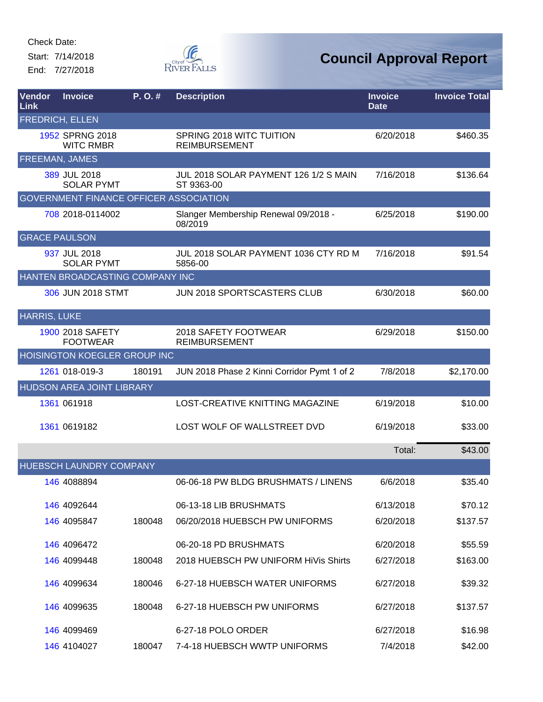Start: 7/14/2018 End: 7/27/2018



| Vendor<br>Link        | <b>Invoice</b>                                | P.O.#  | <b>Description</b>                                  | <b>Invoice</b><br><b>Date</b> | <b>Invoice Total</b> |
|-----------------------|-----------------------------------------------|--------|-----------------------------------------------------|-------------------------------|----------------------|
|                       | <b>FREDRICH, ELLEN</b>                        |        |                                                     |                               |                      |
|                       | 1952 SPRNG 2018<br><b>WITC RMBR</b>           |        | SPRING 2018 WITC TUITION<br><b>REIMBURSEMENT</b>    | 6/20/2018                     | \$460.35             |
| <b>FREEMAN, JAMES</b> |                                               |        |                                                     |                               |                      |
|                       | 389 JUL 2018<br><b>SOLAR PYMT</b>             |        | JUL 2018 SOLAR PAYMENT 126 1/2 S MAIN<br>ST 9363-00 | 7/16/2018                     | \$136.64             |
|                       | <b>GOVERNMENT FINANCE OFFICER ASSOCIATION</b> |        |                                                     |                               |                      |
|                       | 708 2018-0114002                              |        | Slanger Membership Renewal 09/2018 -<br>08/2019     | 6/25/2018                     | \$190.00             |
| <b>GRACE PAULSON</b>  |                                               |        |                                                     |                               |                      |
|                       | 937 JUL 2018<br><b>SOLAR PYMT</b>             |        | JUL 2018 SOLAR PAYMENT 1036 CTY RD M<br>5856-00     | 7/16/2018                     | \$91.54              |
|                       | HANTEN BROADCASTING COMPANY INC               |        |                                                     |                               |                      |
|                       | 306 JUN 2018 STMT                             |        | JUN 2018 SPORTSCASTERS CLUB                         | 6/30/2018                     | \$60.00              |
| <b>HARRIS, LUKE</b>   |                                               |        |                                                     |                               |                      |
|                       | 1900 2018 SAFETY<br><b>FOOTWEAR</b>           |        | 2018 SAFETY FOOTWEAR<br><b>REIMBURSEMENT</b>        | 6/29/2018                     | \$150.00             |
|                       | <b>HOISINGTON KOEGLER GROUP INC</b>           |        |                                                     |                               |                      |
|                       | 1261 018-019-3                                | 180191 | JUN 2018 Phase 2 Kinni Corridor Pymt 1 of 2         | 7/8/2018                      | \$2,170.00           |
|                       | <b>HUDSON AREA JOINT LIBRARY</b>              |        |                                                     |                               |                      |
|                       | 1361 061918                                   |        | LOST-CREATIVE KNITTING MAGAZINE                     | 6/19/2018                     | \$10.00              |
|                       | 1361 0619182                                  |        | LOST WOLF OF WALLSTREET DVD                         | 6/19/2018                     | \$33.00              |
|                       |                                               |        |                                                     | Total:                        | \$43.00              |
|                       | HUEBSCH LAUNDRY COMPANY                       |        |                                                     |                               |                      |
|                       | 146 4088894                                   |        | 06-06-18 PW BLDG BRUSHMATS / LINENS                 | 6/6/2018                      | \$35.40              |
|                       | 146 4092644                                   |        | 06-13-18 LIB BRUSHMATS                              | 6/13/2018                     | \$70.12              |
|                       | 146 4095847                                   | 180048 | 06/20/2018 HUEBSCH PW UNIFORMS                      | 6/20/2018                     | \$137.57             |
|                       | 146 4096472                                   |        | 06-20-18 PD BRUSHMATS                               | 6/20/2018                     | \$55.59              |
|                       | 146 4099448                                   | 180048 | 2018 HUEBSCH PW UNIFORM HIVIS Shirts                | 6/27/2018                     | \$163.00             |
|                       | <b>146 4099634</b>                            | 180046 | 6-27-18 HUEBSCH WATER UNIFORMS                      | 6/27/2018                     | \$39.32              |
|                       | 146 4099635                                   | 180048 | 6-27-18 HUEBSCH PW UNIFORMS                         | 6/27/2018                     | \$137.57             |
|                       | 146 4099469                                   |        | 6-27-18 POLO ORDER                                  | 6/27/2018                     | \$16.98              |
|                       | 146 4104027                                   | 180047 | 7-4-18 HUEBSCH WWTP UNIFORMS                        | 7/4/2018                      | \$42.00              |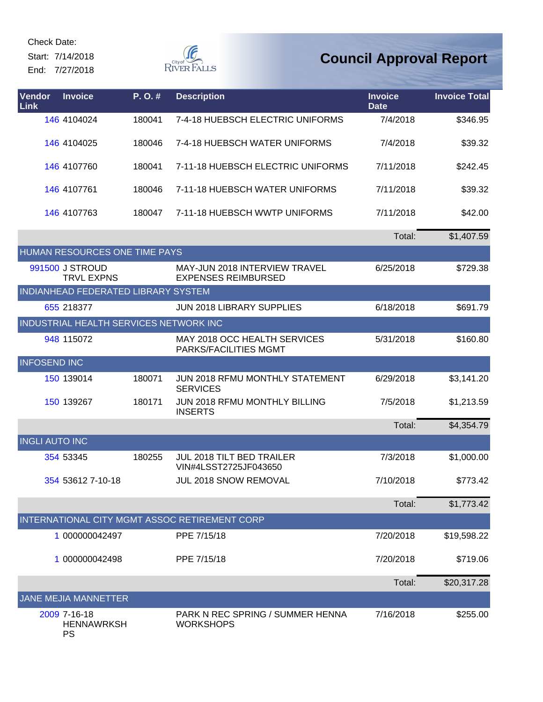Start: 7/14/2018 End: 7/27/2018



| Vendor<br><b>Link</b> | <b>Invoice</b>                                 | P.O.#  | <b>Description</b>                                                 | <b>Invoice</b><br><b>Date</b> | <b>Invoice Total</b> |
|-----------------------|------------------------------------------------|--------|--------------------------------------------------------------------|-------------------------------|----------------------|
|                       | 146 4104024                                    | 180041 | 7-4-18 HUEBSCH ELECTRIC UNIFORMS                                   | 7/4/2018                      | \$346.95             |
|                       | 146 4104025                                    | 180046 | 7-4-18 HUEBSCH WATER UNIFORMS                                      | 7/4/2018                      | \$39.32              |
|                       | 146 4107760                                    | 180041 | 7-11-18 HUEBSCH ELECTRIC UNIFORMS                                  | 7/11/2018                     | \$242.45             |
|                       | 146 4107761                                    | 180046 | 7-11-18 HUEBSCH WATER UNIFORMS                                     | 7/11/2018                     | \$39.32              |
|                       | 146 4107763                                    | 180047 | 7-11-18 HUEBSCH WWTP UNIFORMS                                      | 7/11/2018                     | \$42.00              |
|                       |                                                |        |                                                                    | Total:                        | \$1,407.59           |
|                       | HUMAN RESOURCES ONE TIME PAYS                  |        |                                                                    |                               |                      |
|                       | 991500 J STROUD<br><b>TRVL EXPNS</b>           |        | <b>MAY-JUN 2018 INTERVIEW TRAVEL</b><br><b>EXPENSES REIMBURSED</b> | 6/25/2018                     | \$729.38             |
|                       | INDIANHEAD FEDERATED LIBRARY SYSTEM            |        |                                                                    |                               |                      |
|                       | 655 218377                                     |        | <b>JUN 2018 LIBRARY SUPPLIES</b>                                   | 6/18/2018                     | \$691.79             |
|                       | INDUSTRIAL HEALTH SERVICES NETWORK INC         |        |                                                                    |                               |                      |
|                       | 948 115072                                     |        | MAY 2018 OCC HEALTH SERVICES<br>PARKS/FACILITIES MGMT              | 5/31/2018                     | \$160.80             |
| <b>INFOSEND INC</b>   |                                                |        |                                                                    |                               |                      |
|                       | 150 139014                                     | 180071 | <b>JUN 2018 RFMU MONTHLY STATEMENT</b><br><b>SERVICES</b>          | 6/29/2018                     | \$3,141.20           |
|                       | 150 139267                                     | 180171 | <b>JUN 2018 RFMU MONTHLY BILLING</b><br><b>INSERTS</b>             | 7/5/2018                      | \$1,213.59           |
|                       |                                                |        |                                                                    | Total:                        | \$4,354.79           |
| <b>INGLI AUTO INC</b> |                                                |        |                                                                    |                               |                      |
|                       | 354 53345                                      | 180255 | <b>JUL 2018 TILT BED TRAILER</b><br>VIN#4LSST2725JF043650          | 7/3/2018                      | \$1,000.00           |
|                       | 354 53612 7-10-18                              |        | <b>JUL 2018 SNOW REMOVAL</b>                                       | 7/10/2018                     | \$773.42             |
|                       |                                                |        |                                                                    | Total:                        | \$1,773.42           |
|                       |                                                |        | INTERNATIONAL CITY MGMT ASSOC RETIREMENT CORP                      |                               |                      |
|                       | 1 000000042497                                 |        | PPE 7/15/18                                                        | 7/20/2018                     | \$19,598.22          |
|                       | 1 000000042498                                 |        | PPE 7/15/18                                                        | 7/20/2018                     | \$719.06             |
|                       |                                                |        |                                                                    | Total:                        | \$20,317.28          |
|                       | <b>JANE MEJIA MANNETTER</b>                    |        |                                                                    |                               |                      |
|                       | 2009 7-16-18<br><b>HENNAWRKSH</b><br><b>PS</b> |        | PARK N REC SPRING / SUMMER HENNA<br><b>WORKSHOPS</b>               | 7/16/2018                     | \$255.00             |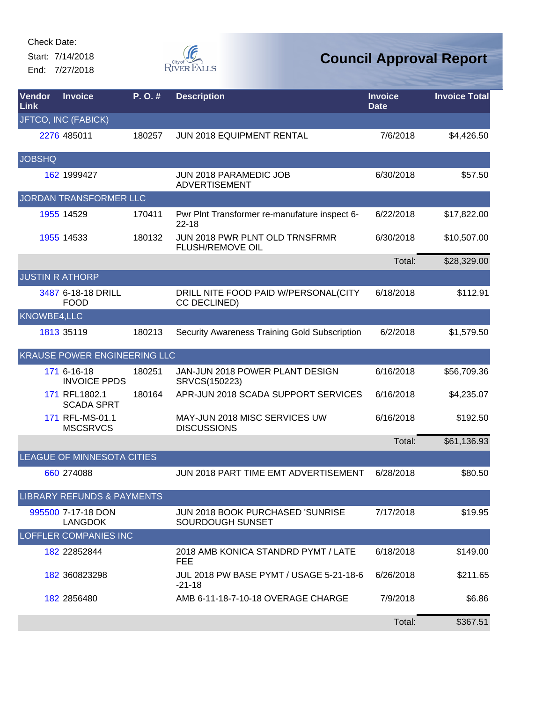Start: 7/14/2018 End: 7/27/2018



| Vendor<br>Link | <b>Invoice</b>                        | P. O.# | <b>Description</b>                                          | <b>Invoice</b><br><b>Date</b> | <b>Invoice Total</b> |
|----------------|---------------------------------------|--------|-------------------------------------------------------------|-------------------------------|----------------------|
|                | JFTCO, INC (FABICK)                   |        |                                                             |                               |                      |
|                | 2276 485011                           | 180257 | JUN 2018 EQUIPMENT RENTAL                                   | 7/6/2018                      | \$4,426.50           |
| <b>JOBSHQ</b>  |                                       |        |                                                             |                               |                      |
|                | 162 1999427                           |        | JUN 2018 PARAMEDIC JOB<br><b>ADVERTISEMENT</b>              | 6/30/2018                     | \$57.50              |
|                | JORDAN TRANSFORMER LLC                |        |                                                             |                               |                      |
|                | 1955 14529                            | 170411 | Pwr Plnt Transformer re-manufature inspect 6-<br>$22 - 18$  | 6/22/2018                     | \$17,822.00          |
|                | 1955 14533                            | 180132 | JUN 2018 PWR PLNT OLD TRNSFRMR<br><b>FLUSH/REMOVE OIL</b>   | 6/30/2018                     | \$10,507.00          |
|                |                                       |        |                                                             | Total:                        | \$28,329.00          |
|                | <b>JUSTIN R ATHORP</b>                |        |                                                             |                               |                      |
|                | 3487 6-18-18 DRILL<br><b>FOOD</b>     |        | DRILL NITE FOOD PAID W/PERSONAL(CITY<br><b>CC DECLINED)</b> | 6/18/2018                     | \$112.91             |
| KNOWBE4,LLC    |                                       |        |                                                             |                               |                      |
|                | 1813 35119                            | 180213 | Security Awareness Training Gold Subscription               | 6/2/2018                      | \$1,579.50           |
|                | <b>KRAUSE POWER ENGINEERING LLC</b>   |        |                                                             |                               |                      |
|                | 171 6-16-18<br><b>INVOICE PPDS</b>    | 180251 | JAN-JUN 2018 POWER PLANT DESIGN<br>SRVCS(150223)            | 6/16/2018                     | \$56,709.36          |
|                | 171 RFL1802.1<br><b>SCADA SPRT</b>    | 180164 | APR-JUN 2018 SCADA SUPPORT SERVICES                         | 6/16/2018                     | \$4,235.07           |
|                | 171 RFL-MS-01.1<br><b>MSCSRVCS</b>    |        | MAY-JUN 2018 MISC SERVICES UW<br><b>DISCUSSIONS</b>         | 6/16/2018                     | \$192.50             |
|                |                                       |        |                                                             | Total:                        | \$61,136.93          |
|                | LEAGUE OF MINNESOTA CITIES            |        |                                                             |                               |                      |
|                | 660 274088                            |        | JUN 2018 PART TIME EMT ADVERTISEMENT                        | 6/28/2018                     | \$80.50              |
|                | <b>LIBRARY REFUNDS &amp; PAYMENTS</b> |        |                                                             |                               |                      |
|                | 995500 7-17-18 DON<br><b>LANGDOK</b>  |        | JUN 2018 BOOK PURCHASED 'SUNRISE<br>SOURDOUGH SUNSET        | 7/17/2018                     | \$19.95              |
|                | <b>LOFFLER COMPANIES INC</b>          |        |                                                             |                               |                      |
|                | 182 22852844                          |        | 2018 AMB KONICA STANDRD PYMT / LATE<br><b>FEE</b>           | 6/18/2018                     | \$149.00             |
|                | 182 360823298                         |        | JUL 2018 PW BASE PYMT / USAGE 5-21-18-6<br>$-21-18$         | 6/26/2018                     | \$211.65             |
|                | 182 2856480                           |        | AMB 6-11-18-7-10-18 OVERAGE CHARGE                          | 7/9/2018                      | \$6.86               |
|                |                                       |        |                                                             | Total:                        | \$367.51             |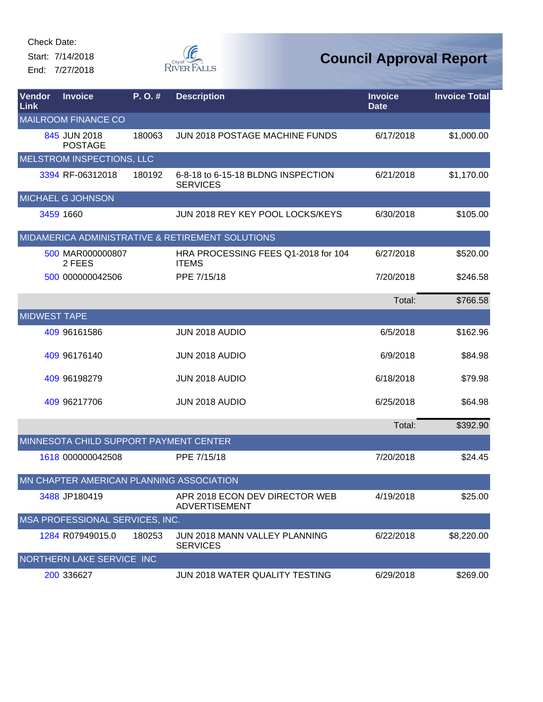Start: 7/14/2018 End: 7/27/2018



| Vendor<br>Link      | <b>Invoice</b>                           | P.O.#  | <b>Description</b>                                     | <b>Invoice</b><br><b>Date</b> | <b>Invoice Total</b> |
|---------------------|------------------------------------------|--------|--------------------------------------------------------|-------------------------------|----------------------|
|                     | <b>MAILROOM FINANCE CO</b>               |        |                                                        |                               |                      |
|                     | 845 JUN 2018<br><b>POSTAGE</b>           | 180063 | <b>JUN 2018 POSTAGE MACHINE FUNDS</b>                  | 6/17/2018                     | \$1,000.00           |
|                     | MELSTROM INSPECTIONS, LLC                |        |                                                        |                               |                      |
|                     | 3394 RF-06312018                         | 180192 | 6-8-18 to 6-15-18 BLDNG INSPECTION<br><b>SERVICES</b>  | 6/21/2018                     | \$1,170.00           |
|                     | MICHAEL G JOHNSON                        |        |                                                        |                               |                      |
|                     | 3459 1660                                |        | JUN 2018 REY KEY POOL LOCKS/KEYS                       | 6/30/2018                     | \$105.00             |
|                     |                                          |        | MIDAMERICA ADMINISTRATIVE & RETIREMENT SOLUTIONS       |                               |                      |
|                     | 500 MAR000000807<br>2 FEES               |        | HRA PROCESSING FEES Q1-2018 for 104<br><b>ITEMS</b>    | 6/27/2018                     | \$520.00             |
|                     | 500 000000042506                         |        | PPE 7/15/18                                            | 7/20/2018                     | \$246.58             |
|                     |                                          |        |                                                        | Total:                        | \$766.58             |
| <b>MIDWEST TAPE</b> |                                          |        |                                                        |                               |                      |
|                     | 409 96161586                             |        | JUN 2018 AUDIO                                         | 6/5/2018                      | \$162.96             |
|                     | 409 96176140                             |        | JUN 2018 AUDIO                                         | 6/9/2018                      | \$84.98              |
|                     | 409 961 98279                            |        | JUN 2018 AUDIO                                         | 6/18/2018                     | \$79.98              |
|                     | 409 96217706                             |        | JUN 2018 AUDIO                                         | 6/25/2018                     | \$64.98              |
|                     |                                          |        |                                                        | Total:                        | \$392.90             |
|                     | MINNESOTA CHILD SUPPORT PAYMENT CENTER   |        |                                                        |                               |                      |
|                     | 1618 000000042508                        |        | PPE 7/15/18                                            | 7/20/2018                     | \$24.45              |
|                     | MN CHAPTER AMERICAN PLANNING ASSOCIATION |        |                                                        |                               |                      |
|                     | 3488 JP180419                            |        | APR 2018 ECON DEV DIRECTOR WEB<br><b>ADVERTISEMENT</b> | 4/19/2018                     | \$25.00              |
|                     | MSA PROFESSIONAL SERVICES, INC.          |        |                                                        |                               |                      |
|                     | 1284 R07949015.0                         | 180253 | JUN 2018 MANN VALLEY PLANNING<br><b>SERVICES</b>       | 6/22/2018                     | \$8,220.00           |
|                     | NORTHERN LAKE SERVICE INC                |        |                                                        |                               |                      |
|                     | 200 336627                               |        | JUN 2018 WATER QUALITY TESTING                         | 6/29/2018                     | \$269.00             |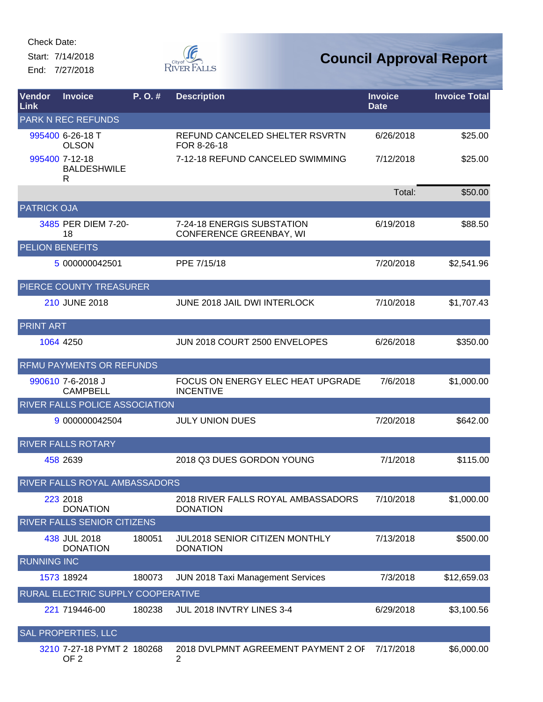Start: 7/14/2018 End: 7/27/2018



| <b>Vendor</b><br><b>Link</b> | <b>Invoice</b>                                | P. O. # | <b>Description</b>                                           | <b>Invoice</b><br><b>Date</b> | <b>Invoice Total</b> |
|------------------------------|-----------------------------------------------|---------|--------------------------------------------------------------|-------------------------------|----------------------|
|                              | <b>PARK N REC REFUNDS</b>                     |         |                                                              |                               |                      |
|                              | 995400 6-26-18 T<br><b>OLSON</b>              |         | REFUND CANCELED SHELTER RSVRTN<br>FOR 8-26-18                | 6/26/2018                     | \$25.00              |
|                              | 995400 7-12-18<br><b>BALDESHWILE</b><br>R     |         | 7-12-18 REFUND CANCELED SWIMMING                             | 7/12/2018                     | \$25.00              |
|                              |                                               |         |                                                              | Total:                        | \$50.00              |
| <b>PATRICK OJA</b>           |                                               |         |                                                              |                               |                      |
|                              | 3485 PER DIEM 7-20-<br>18                     |         | 7-24-18 ENERGIS SUBSTATION<br><b>CONFERENCE GREENBAY, WI</b> | 6/19/2018                     | \$88.50              |
|                              | <b>PELION BENEFITS</b>                        |         |                                                              |                               |                      |
|                              | 5 000000042501                                |         | PPE 7/15/18                                                  | 7/20/2018                     | \$2,541.96           |
|                              | PIERCE COUNTY TREASURER                       |         |                                                              |                               |                      |
|                              | 210 JUNE 2018                                 |         | JUNE 2018 JAIL DWI INTERLOCK                                 | 7/10/2018                     | \$1,707.43           |
| <b>PRINT ART</b>             |                                               |         |                                                              |                               |                      |
|                              | 1064 4250                                     |         | JUN 2018 COURT 2500 ENVELOPES                                | 6/26/2018                     | \$350.00             |
|                              | RFMU PAYMENTS OR REFUNDS                      |         |                                                              |                               |                      |
|                              | 990610 7-6-2018 J<br><b>CAMPBELL</b>          |         | FOCUS ON ENERGY ELEC HEAT UPGRADE<br><b>INCENTIVE</b>        | 7/6/2018                      | \$1,000.00           |
|                              | RIVER FALLS POLICE ASSOCIATION                |         |                                                              |                               |                      |
|                              | 9 000000042504                                |         | <b>JULY UNION DUES</b>                                       | 7/20/2018                     | \$642.00             |
|                              | <b>RIVER FALLS ROTARY</b>                     |         |                                                              |                               |                      |
|                              | 458 2639                                      |         | 2018 Q3 DUES GORDON YOUNG                                    | 7/1/2018                      | \$115.00             |
|                              | RIVER FALLS ROYAL AMBASSADORS                 |         |                                                              |                               |                      |
|                              | 223 2018<br><b>DONATION</b>                   |         | 2018 RIVER FALLS ROYAL AMBASSADORS<br><b>DONATION</b>        | 7/10/2018                     | \$1,000.00           |
|                              | RIVER FALLS SENIOR CITIZENS                   |         |                                                              |                               |                      |
| <b>RUNNING INC</b>           | 438 JUL 2018<br><b>DONATION</b>               | 180051  | <b>JUL2018 SENIOR CITIZEN MONTHLY</b><br><b>DONATION</b>     | 7/13/2018                     | \$500.00             |
|                              | 1573 18924                                    | 180073  | <b>JUN 2018 Taxi Management Services</b>                     | 7/3/2018                      | \$12,659.03          |
|                              | RURAL ELECTRIC SUPPLY COOPERATIVE             |         |                                                              |                               |                      |
|                              | 221 719446-00                                 | 180238  | JUL 2018 INVTRY LINES 3-4                                    | 6/29/2018                     | \$3,100.56           |
|                              | SAL PROPERTIES, LLC                           |         |                                                              |                               |                      |
|                              | 3210 7-27-18 PYMT 2 180268<br>OF <sub>2</sub> |         | 2018 DVLPMNT AGREEMENT PAYMENT 2 OF<br>2                     | 7/17/2018                     | \$6,000.00           |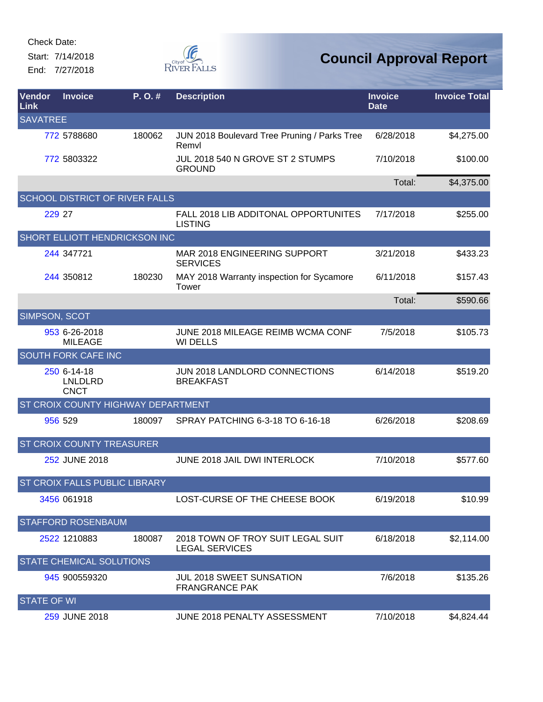Start: 7/14/2018 End: 7/27/2018



| Vendor<br>Link     | <b>Invoice</b>                               | P. O. # | <b>Description</b>                                         | <b>Invoice</b><br><b>Date</b> | <b>Invoice Total</b> |
|--------------------|----------------------------------------------|---------|------------------------------------------------------------|-------------------------------|----------------------|
| <b>SAVATREE</b>    |                                              |         |                                                            |                               |                      |
|                    | 772 5788680                                  | 180062  | JUN 2018 Boulevard Tree Pruning / Parks Tree<br>Remvl      | 6/28/2018                     | \$4,275.00           |
|                    | 772 5803322                                  |         | JUL 2018 540 N GROVE ST 2 STUMPS<br><b>GROUND</b>          | 7/10/2018                     | \$100.00             |
|                    |                                              |         |                                                            | Total:                        | \$4,375.00           |
|                    | <b>SCHOOL DISTRICT OF RIVER FALLS</b>        |         |                                                            |                               |                      |
|                    | 229 27                                       |         | FALL 2018 LIB ADDITONAL OPPORTUNITES<br><b>LISTING</b>     | 7/17/2018                     | \$255.00             |
|                    | <b>SHORT ELLIOTT HENDRICKSON INC</b>         |         |                                                            |                               |                      |
|                    | 244 347721                                   |         | MAR 2018 ENGINEERING SUPPORT<br><b>SERVICES</b>            | 3/21/2018                     | \$433.23             |
|                    | 244 350812                                   | 180230  | MAY 2018 Warranty inspection for Sycamore<br>Tower         | 6/11/2018                     | \$157.43             |
|                    |                                              |         |                                                            | Total:                        | \$590.66             |
| SIMPSON, SCOT      |                                              |         |                                                            |                               |                      |
|                    | 953 6-26-2018<br><b>MILEAGE</b>              |         | JUNE 2018 MILEAGE REIMB WCMA CONF<br><b>WI DELLS</b>       | 7/5/2018                      | \$105.73             |
|                    | <b>SOUTH FORK CAFE INC</b>                   |         |                                                            |                               |                      |
|                    | 250 6-14-18<br><b>LNLDLRD</b><br><b>CNCT</b> |         | JUN 2018 LANDLORD CONNECTIONS<br><b>BREAKFAST</b>          | 6/14/2018                     | \$519.20             |
|                    | ST CROIX COUNTY HIGHWAY DEPARTMENT           |         |                                                            |                               |                      |
|                    | 956 529                                      | 180097  | SPRAY PATCHING 6-3-18 TO 6-16-18                           | 6/26/2018                     | \$208.69             |
|                    | <b>ST CROIX COUNTY TREASURER</b>             |         |                                                            |                               |                      |
|                    | 252 JUNE 2018                                |         | JUNE 2018 JAIL DWI INTERLOCK                               | 7/10/2018                     | \$577.60             |
|                    | ST CROIX FALLS PUBLIC LIBRARY                |         |                                                            |                               |                      |
|                    | 3456 061918                                  |         | LOST-CURSE OF THE CHEESE BOOK                              | 6/19/2018                     | \$10.99              |
|                    | <b>STAFFORD ROSENBAUM</b>                    |         |                                                            |                               |                      |
|                    | 2522 1210883                                 | 180087  | 2018 TOWN OF TROY SUIT LEGAL SUIT<br><b>LEGAL SERVICES</b> | 6/18/2018                     | \$2,114.00           |
|                    | <b>STATE CHEMICAL SOLUTIONS</b>              |         |                                                            |                               |                      |
|                    | 945 900559320                                |         | JUL 2018 SWEET SUNSATION<br><b>FRANGRANCE PAK</b>          | 7/6/2018                      | \$135.26             |
| <b>STATE OF WI</b> |                                              |         |                                                            |                               |                      |
|                    | 259 JUNE 2018                                |         | JUNE 2018 PENALTY ASSESSMENT                               | 7/10/2018                     | \$4,824.44           |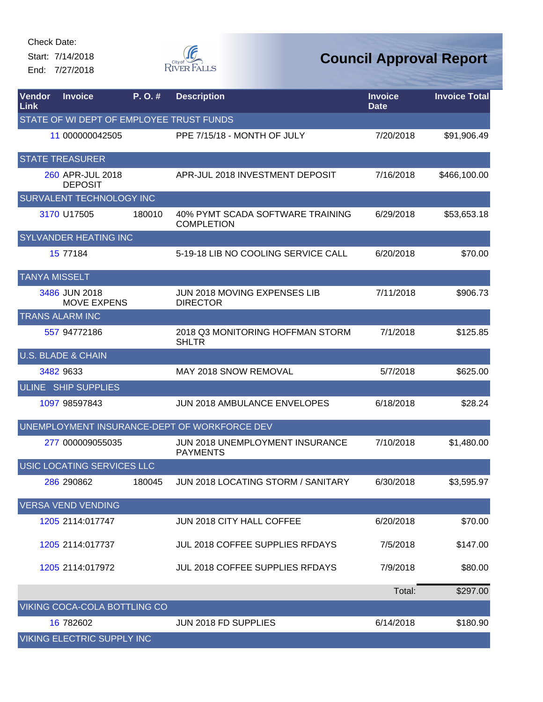Start: 7/14/2018 End: 7/27/2018



| Vendor<br>Link       | <b>Invoice</b>                           | P.O.#  | <b>Description</b>                                    | <b>Invoice</b><br><b>Date</b> | <b>Invoice Total</b> |
|----------------------|------------------------------------------|--------|-------------------------------------------------------|-------------------------------|----------------------|
|                      | STATE OF WI DEPT OF EMPLOYEE TRUST FUNDS |        |                                                       |                               |                      |
|                      | 11 000000042505                          |        | PPE 7/15/18 - MONTH OF JULY                           | 7/20/2018                     | \$91,906.49          |
|                      | <b>STATE TREASURER</b>                   |        |                                                       |                               |                      |
|                      | 260 APR-JUL 2018<br><b>DEPOSIT</b>       |        | APR-JUL 2018 INVESTMENT DEPOSIT                       | 7/16/2018                     | \$466,100.00         |
|                      | <b>SURVALENT TECHNOLOGY INC</b>          |        |                                                       |                               |                      |
|                      | 3170 U17505                              | 180010 | 40% PYMT SCADA SOFTWARE TRAINING<br><b>COMPLETION</b> | 6/29/2018                     | \$53,653.18          |
|                      | <b>SYLVANDER HEATING INC</b>             |        |                                                       |                               |                      |
|                      | 15 77184                                 |        | 5-19-18 LIB NO COOLING SERVICE CALL                   | 6/20/2018                     | \$70.00              |
| <b>TANYA MISSELT</b> |                                          |        |                                                       |                               |                      |
|                      | 3486 JUN 2018<br><b>MOVE EXPENS</b>      |        | JUN 2018 MOVING EXPENSES LIB<br><b>DIRECTOR</b>       | 7/11/2018                     | \$906.73             |
|                      | <b>TRANS ALARM INC</b>                   |        |                                                       |                               |                      |
|                      | 557 94772186                             |        | 2018 Q3 MONITORING HOFFMAN STORM<br><b>SHLTR</b>      | 7/1/2018                      | \$125.85             |
|                      | <b>U.S. BLADE &amp; CHAIN</b>            |        |                                                       |                               |                      |
|                      | 3482 9633                                |        | <b>MAY 2018 SNOW REMOVAL</b>                          | 5/7/2018                      | \$625.00             |
|                      | ULINE SHIP SUPPLIES                      |        |                                                       |                               |                      |
|                      | 1097 98597843                            |        | <b>JUN 2018 AMBULANCE ENVELOPES</b>                   | 6/18/2018                     | \$28.24              |
|                      |                                          |        | UNEMPLOYMENT INSURANCE-DEPT OF WORKFORCE DEV          |                               |                      |
|                      | 277 000009055035                         |        | JUN 2018 UNEMPLOYMENT INSURANCE<br><b>PAYMENTS</b>    | 7/10/2018                     | \$1,480.00           |
|                      | USIC LOCATING SERVICES LLC               |        |                                                       |                               |                      |
|                      | 286 290862                               | 180045 | JUN 2018 LOCATING STORM / SANITARY                    | 6/30/2018                     | \$3,595.97           |
|                      | <b>VERSA VEND VENDING</b>                |        |                                                       |                               |                      |
|                      | 1205 2114:017747                         |        | JUN 2018 CITY HALL COFFEE                             | 6/20/2018                     | \$70.00              |
|                      | 1205 2114:017737                         |        | JUL 2018 COFFEE SUPPLIES RFDAYS                       | 7/5/2018                      | \$147.00             |
|                      | 1205 2114:017972                         |        | JUL 2018 COFFEE SUPPLIES RFDAYS                       | 7/9/2018                      | \$80.00              |
|                      |                                          |        |                                                       | Total:                        | \$297.00             |
|                      | VIKING COCA-COLA BOTTLING CO             |        |                                                       |                               |                      |
|                      | 16 782602                                |        | JUN 2018 FD SUPPLIES                                  | 6/14/2018                     | \$180.90             |
|                      | VIKING ELECTRIC SUPPLY INC               |        |                                                       |                               |                      |